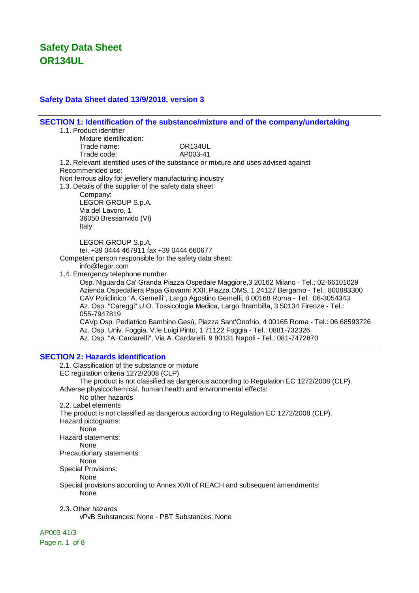### **Safety Data Sheet dated 13/9/2018, version 3**

**SECTION 1: Identification of the substance/mixture and of the company/undertaking** 1.1. Product identifier Mixture identification: Trade name: OR134UL Trade code: AP003-41 1.2. Relevant identified uses of the substance or mixture and uses advised against Recommended use: Non ferrous alloy for jewellery manufacturing industry 1.3. Details of the supplier of the safety data sheet Company: LEGOR GROUP S.p.A. Via del Lavoro, 1 36050 Bressanvido (VI) Italy LEGOR GROUP S.p.A. tel. +39 0444 467911 fax +39 0444 660677 Competent person responsible for the safety data sheet: info@legor.com 1.4. Emergency telephone number Osp. Niguarda Ca' Granda Piazza Ospedale Maggiore,3 20162 Milano - Tel.: 02-66101029 Azienda Ospedaliera Papa Giovanni XXII, Piazza OMS, 1 24127 Bergamo - Tel.: 800883300 CAV Policlinico "A. Gemelli", Largo Agostino Gemelli, 8 00168 Roma - Tel.: 06-3054343 Az. Osp. "Careggi" U.O. Tossicologia Medica, Largo Brambilla, 3 50134 Firenze - Tel.: 055-7947819 CAVp Osp. Pediatrico Bambino Gesù, Piazza Sant'Onofrio, 4 00165 Roma - Tel.: 06 68593726 Az. Osp. Univ. Foggia, V.le Luigi Pinto, 1 71122 Foggia - Tel.: 0881-732326 Az. Osp. "A. Cardarelli", Via A. Cardarelli, 9 80131 Napoli - Tel.: 081-7472870 **SECTION 2: Hazards identification** 2.1. Classification of the substance or mixture EC regulation criteria 1272/2008 (CLP) The product is not classified as dangerous according to Regulation EC 1272/2008 (CLP). Adverse physicochemical, human health and environmental effects: No other hazards 2.2. Label elements The product is not classified as dangerous according to Regulation EC 1272/2008 (CLP). Hazard pictograms: None Hazard statements: None Precautionary statements: None Special Provisions: **None** Special provisions according to Annex XVII of REACH and subsequent amendments: None 2.3. Other hazards vPvB Substances: None - PBT Substances: None

AP003-41/3

Page n. 1 of 8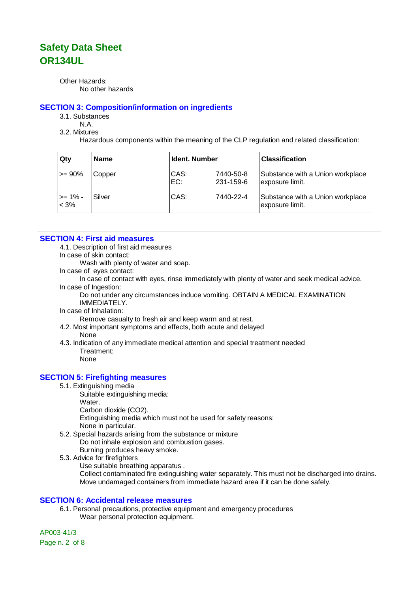Other Hazards: No other hazards

#### **SECTION 3: Composition/information on ingredients**

3.1. Substances

N.A.

3.2. Mixtures

Hazardous components within the meaning of the CLP regulation and related classification:

| Qty                | <b>Name</b> | <b>Ident. Number</b> |                        | <b>Classification</b>                               |
|--------------------|-------------|----------------------|------------------------|-----------------------------------------------------|
| l>= 90%            | Copper      | CAS:<br>EC:          | 7440-50-8<br>231-159-6 | Substance with a Union workplace<br>exposure limit. |
| >= 1% -<br>$< 3\%$ | Silver      | CAS:                 | 7440-22-4              | Substance with a Union workplace<br>exposure limit. |

### **SECTION 4: First aid measures**

4.1. Description of first aid measures

In case of skin contact:

Wash with plenty of water and soap.

In case of eyes contact:

In case of contact with eyes, rinse immediately with plenty of water and seek medical advice. In case of Ingestion:

Do not under any circumstances induce vomiting. OBTAIN A MEDICAL EXAMINATION IMMEDIATELY.

In case of Inhalation:

Remove casualty to fresh air and keep warm and at rest.

- 4.2. Most important symptoms and effects, both acute and delayed
	- None
- 4.3. Indication of any immediate medical attention and special treatment needed Treatment: None

### **SECTION 5: Firefighting measures**

- 5.1. Extinguishing media
	- Suitable extinguishing media: Water. Carbon dioxide (CO2).

Extinguishing media which must not be used for safety reasons: None in particular.

- 5.2. Special hazards arising from the substance or mixture Do not inhale explosion and combustion gases. Burning produces heavy smoke.
- 5.3. Advice for firefighters
	- Use suitable breathing apparatus .

Collect contaminated fire extinguishing water separately. This must not be discharged into drains. Move undamaged containers from immediate hazard area if it can be done safely.

### **SECTION 6: Accidental release measures**

6.1. Personal precautions, protective equipment and emergency procedures Wear personal protection equipment.

AP003-41/3 Page n. 2 of 8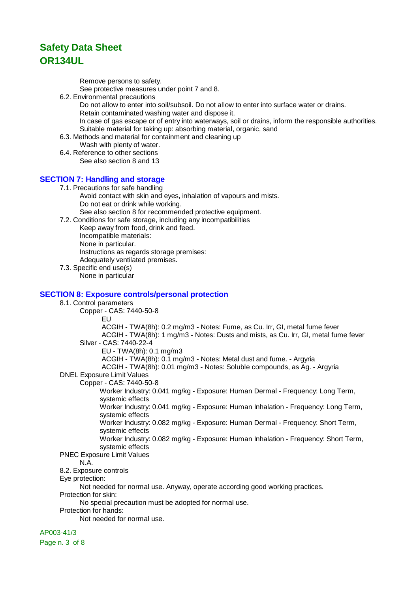Remove persons to safety.

See protective measures under point 7 and 8.

6.2. Environmental precautions

Do not allow to enter into soil/subsoil. Do not allow to enter into surface water or drains. Retain contaminated washing water and dispose it. In case of gas escape or of entry into waterways, soil or drains, inform the responsible authorities. Suitable material for taking up: absorbing material, organic, sand

- 6.3. Methods and material for containment and cleaning up
	- Wash with plenty of water.
- 6.4. Reference to other sections See also section 8 and 13

### **SECTION 7: Handling and storage**

7.1. Precautions for safe handling Avoid contact with skin and eyes, inhalation of vapours and mists. Do not eat or drink while working.

See also section 8 for recommended protective equipment.

7.2. Conditions for safe storage, including any incompatibilities Keep away from food, drink and feed. Incompatible materials: None in particular. Instructions as regards storage premises: Adequately ventilated premises.

7.3. Specific end use(s) None in particular

### **SECTION 8: Exposure controls/personal protection**

8.1. Control parameters Copper - CAS: 7440-50-8 EU ACGIH - TWA(8h): 0.2 mg/m3 - Notes: Fume, as Cu. Irr, GI, metal fume fever ACGIH - TWA(8h): 1 mg/m3 - Notes: Dusts and mists, as Cu. Irr, GI, metal fume fever Silver - CAS: 7440-22-4 EU - TWA(8h): 0.1 mg/m3 ACGIH - TWA(8h): 0.1 mg/m3 - Notes: Metal dust and fume. - Argyria ACGIH - TWA(8h): 0.01 mg/m3 - Notes: Soluble compounds, as Ag. - Argyria DNEL Exposure Limit Values Copper - CAS: 7440-50-8 Worker Industry: 0.041 mg/kg - Exposure: Human Dermal - Frequency: Long Term, systemic effects Worker Industry: 0.041 mg/kg - Exposure: Human Inhalation - Frequency: Long Term, systemic effects Worker Industry: 0.082 mg/kg - Exposure: Human Dermal - Frequency: Short Term, systemic effects Worker Industry: 0.082 mg/kg - Exposure: Human Inhalation - Frequency: Short Term, systemic effects PNEC Exposure Limit Values N.A. 8.2. Exposure controls Eye protection: Not needed for normal use. Anyway, operate according good working practices. Protection for skin: No special precaution must be adopted for normal use. Protection for hands: Not needed for normal use.

### AP003-41/3

Page n. 3 of 8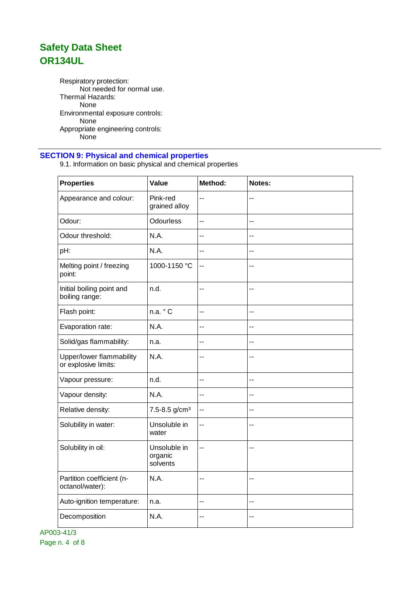Respiratory protection: Not needed for normal use. Thermal Hazards: None Environmental exposure controls: None Appropriate engineering controls: .<br>None

### **SECTION 9: Physical and chemical properties**

9.1. Information on basic physical and chemical properties

| <b>Properties</b>                                | Value                               | Method:        | Notes:         |
|--------------------------------------------------|-------------------------------------|----------------|----------------|
| Appearance and colour:                           | Pink-red<br>grained alloy           | --             | $-$            |
| Odour:                                           | <b>Odourless</b>                    | --             | $-$            |
| Odour threshold:                                 | N.A.                                | --             | --             |
| pH:                                              | N.A.                                | $\overline{a}$ | $\overline{a}$ |
| Melting point / freezing<br>point:               | 1000-1150 °C                        | $-$            | $\overline{a}$ |
| Initial boiling point and<br>boiling range:      | n.d.                                | $-$            | $-$            |
| Flash point:                                     | n.a. ° C                            | --             | $\sim$         |
| Evaporation rate:                                | N.A.                                | --             | --             |
| Solid/gas flammability:                          | n.a.                                | --             | $-$            |
| Upper/lower flammability<br>or explosive limits: | N.A.                                | --             | $\overline{a}$ |
| Vapour pressure:                                 | n.d.                                | $\overline{a}$ | $-$            |
| Vapour density:                                  | N.A.                                | --             | --             |
| Relative density:                                | 7.5-8.5 g/cm <sup>3</sup>           | $-$            | $\overline{a}$ |
| Solubility in water:                             | Unsoluble in<br>water               | --             | $\overline{a}$ |
| Solubility in oil:                               | Unsoluble in<br>organic<br>solvents | $-$            | $-$            |
| Partition coefficient (n-<br>octanol/water):     | N.A.                                | --             | --             |
| Auto-ignition temperature:                       | n.a.                                | $-$            | $-$            |
| Decomposition                                    | N.A.                                | --             | $\sim$         |

AP003-41/3 Page n. 4 of 8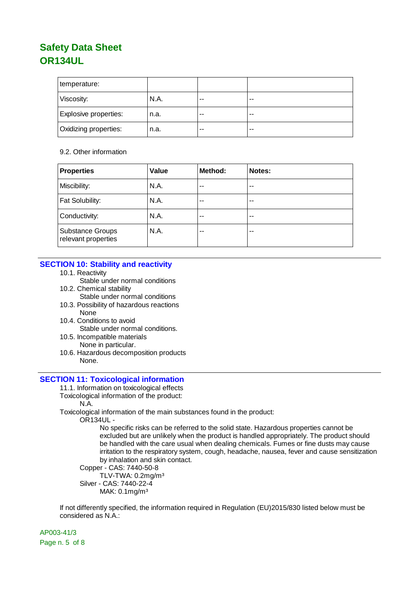| temperature:                 |      |    |       |
|------------------------------|------|----|-------|
| Viscosity:                   | N.A. | -- | $-$   |
| Explosive properties:        | n.a. | -- | $-$   |
| <b>Oxidizing properties:</b> | n.a. | -- | $- -$ |

#### 9.2. Other information

| <b>Properties</b>                              | Value | Method: | Notes: |
|------------------------------------------------|-------|---------|--------|
| Miscibility:                                   | N.A.  | --      | --     |
| Fat Solubility:                                | N.A.  | $ -$    | $-$    |
| Conductivity:                                  | N.A.  | --      | --     |
| <b>Substance Groups</b><br>relevant properties | N.A.  | --      | $-$    |

### **SECTION 10: Stability and reactivity**

- 10.1. Reactivity
	- Stable under normal conditions
- 10.2. Chemical stability Stable under normal conditions
- 10.3. Possibility of hazardous reactions None
- 10.4. Conditions to avoid Stable under normal conditions.
- 10.5. Incompatible materials None in particular.
- 10.6. Hazardous decomposition products None.

### **SECTION 11: Toxicological information**

- 11.1. Information on toxicological effects
- Toxicological information of the product:
	- N.A.
- Toxicological information of the main substances found in the product:

OR134UL -

No specific risks can be referred to the solid state. Hazardous properties cannot be excluded but are unlikely when the product is handled appropriately. The product should be handled with the care usual when dealing chemicals. Fumes or fine dusts may cause irritation to the respiratory system, cough, headache, nausea, fever and cause sensitization by inhalation and skin contact.

Copper - CAS: 7440-50-8

TLV-TWA: 0.2mg/m³ Silver - CAS: 7440-22-4

MAK: 0.1mg/m³

If not differently specified, the information required in Regulation (EU)2015/830 listed below must be considered as N.A.:

AP003-41/3 Page n. 5 of 8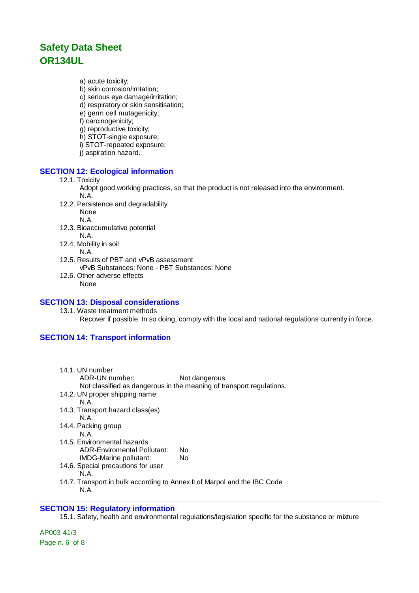a) acute toxicity;

- b) skin corrosion/irritation;
- c) serious eye damage/irritation;
- d) respiratory or skin sensitisation;
- e) germ cell mutagenicity;
- f) carcinogenicity;
- g) reproductive toxicity;
- h) STOT-single exposure;
- i) STOT-repeated exposure;
- j) aspiration hazard.

### **SECTION 12: Ecological information**

#### 12.1. Toxicity

- Adopt good working practices, so that the product is not released into the environment. N.A.
- 12.2. Persistence and degradability None N.A.
- 12.3. Bioaccumulative potential N.A.
- 12.4. Mobility in soil
- N.A. 12.5. Results of PBT and vPvB assessment
- vPvB Substances: None PBT Substances: None 12.6. Other adverse effects
	- None

### **SECTION 13: Disposal considerations**

13.1. Waste treatment methods Recover if possible. In so doing, comply with the local and national regulations currently in force.

### **SECTION 14: Transport information**

| 14.1. UN number<br>ADR-UN number:<br>14.2. UN proper shipping name<br>N A<br>14.3. Transport hazard class(es)<br>N.A.<br>14.4. Packing group<br>N A | Not dangerous<br>Not classified as dangerous in the meaning of transport regulations. |
|-----------------------------------------------------------------------------------------------------------------------------------------------------|---------------------------------------------------------------------------------------|
| 14.5. Environmental hazards<br><b>ADR-Enviromental Pollutant:</b><br>IMDG-Marine pollutant:<br>14.6. Special precautions for user                   | No<br>No.                                                                             |
| N.A.<br>14.7. Transport in bulk according to Annex II of Marpol and the IBC Code                                                                    |                                                                                       |

N.A.

### **SECTION 15: Regulatory information**

15.1. Safety, health and environmental regulations/legislation specific for the substance or mixture

AP003-41/3 Page n. 6 of 8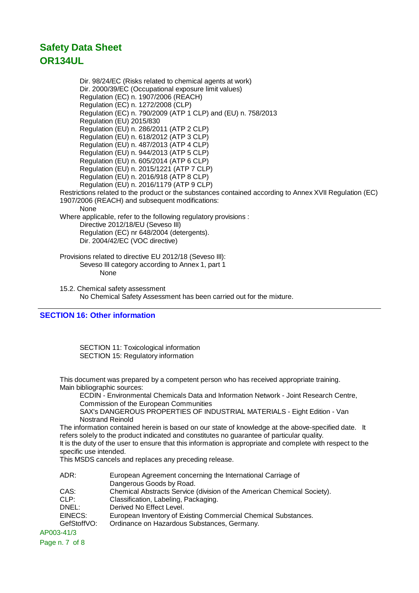Dir. 98/24/EC (Risks related to chemical agents at work) Dir. 2000/39/EC (Occupational exposure limit values) Regulation (EC) n. 1907/2006 (REACH) Regulation (EC) n. 1272/2008 (CLP) Regulation (EC) n. 790/2009 (ATP 1 CLP) and (EU) n. 758/2013 Regulation (EU) 2015/830 Regulation (EU) n. 286/2011 (ATP 2 CLP) Regulation (EU) n. 618/2012 (ATP 3 CLP) Regulation (EU) n. 487/2013 (ATP 4 CLP) Regulation (EU) n. 944/2013 (ATP 5 CLP) Regulation (EU) n. 605/2014 (ATP 6 CLP) Regulation (EU) n. 2015/1221 (ATP 7 CLP) Regulation (EU) n. 2016/918 (ATP 8 CLP) Regulation (EU) n. 2016/1179 (ATP 9 CLP) Restrictions related to the product or the substances contained according to Annex XVII Regulation (EC) 1907/2006 (REACH) and subsequent modifications: None Where applicable, refer to the following regulatory provisions : Directive 2012/18/EU (Seveso III) Regulation (EC) nr 648/2004 (detergents). Dir. 2004/42/EC (VOC directive) Provisions related to directive EU 2012/18 (Seveso III): Seveso III category according to Annex 1, part 1 None

15.2. Chemical safety assessment No Chemical Safety Assessment has been carried out for the mixture.

### **SECTION 16: Other information**

SECTION 11: Toxicological information SECTION 15: Regulatory information

This document was prepared by a competent person who has received appropriate training. Main bibliographic sources:

ECDIN - Environmental Chemicals Data and Information Network - Joint Research Centre, Commission of the European Communities

SAX's DANGEROUS PROPERTIES OF INDUSTRIAL MATERIALS - Eight Edition - Van Nostrand Reinold

The information contained herein is based on our state of knowledge at the above-specified date. It refers solely to the product indicated and constitutes no guarantee of particular quality.

It is the duty of the user to ensure that this information is appropriate and complete with respect to the specific use intended.

This MSDS cancels and replaces any preceding release.

| ADR:        | European Agreement concerning the International Carriage of             |
|-------------|-------------------------------------------------------------------------|
|             | Dangerous Goods by Road.                                                |
| CAS:        | Chemical Abstracts Service (division of the American Chemical Society). |
| CLP:        | Classification, Labeling, Packaging.                                    |
| DNEL:       | Derived No Effect Level.                                                |
| EINECS:     | European Inventory of Existing Commercial Chemical Substances.          |
| GefStoffVO: | Ordinance on Hazardous Substances, Germany.                             |
| AP003-41/3  |                                                                         |

Page n. 7 of 8